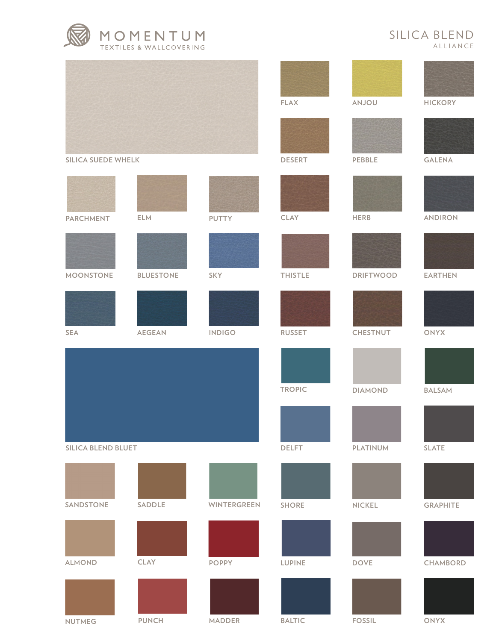

## SILICA BLEND ALLIANCE

|                           |                  |               | <b>FLAX</b>    | <b>ANJOU</b>     | <b>HICKORY</b>  |
|---------------------------|------------------|---------------|----------------|------------------|-----------------|
|                           |                  |               |                |                  |                 |
| <b>SILICA SUEDE WHELK</b> |                  |               | <b>DESERT</b>  | PEBBLE           | <b>GALENA</b>   |
|                           |                  |               |                |                  |                 |
| <b>PARCHMENT</b>          | ELM              | PUTTY         | <b>CLAY</b>    | <b>HERB</b>      | <b>ANDIRON</b>  |
|                           |                  |               |                |                  |                 |
| <b>MOONSTONE</b>          | <b>BLUESTONE</b> | SKY           | <b>THISTLE</b> | <b>DRIFTWOOD</b> | <b>EARTHEN</b>  |
|                           |                  |               |                |                  |                 |
| SEA                       | <b>AEGEAN</b>    | <b>INDIGO</b> | <b>RUSSET</b>  | <b>CHESTNUT</b>  | <b>ONYX</b>     |
|                           |                  |               |                |                  |                 |
|                           |                  |               | <b>TROPIC</b>  | <b>DIAMOND</b>   | <b>BALSAM</b>   |
|                           |                  |               |                |                  |                 |
| <b>SILICA BLEND BLUET</b> |                  |               | <b>DELFT</b>   | PLATINUM         | <b>SLATE</b>    |
|                           |                  |               |                |                  |                 |
| SANDSTONE                 | SADDLE           | WINTERGREEN   | <b>SHORE</b>   | <b>NICKEL</b>    | <b>GRAPHITE</b> |
|                           |                  |               |                |                  |                 |
| <b>ALMOND</b>             | <b>CLAY</b>      | <b>POPPY</b>  | <b>LUPINE</b>  | <b>DOVE</b>      | CHAMBORD        |
|                           |                  |               |                |                  |                 |
| <b>NUTMEG</b>             | <b>PUNCH</b>     | MADDER        | <b>BALTIC</b>  | <b>FOSSIL</b>    | <b>ONYX</b>     |